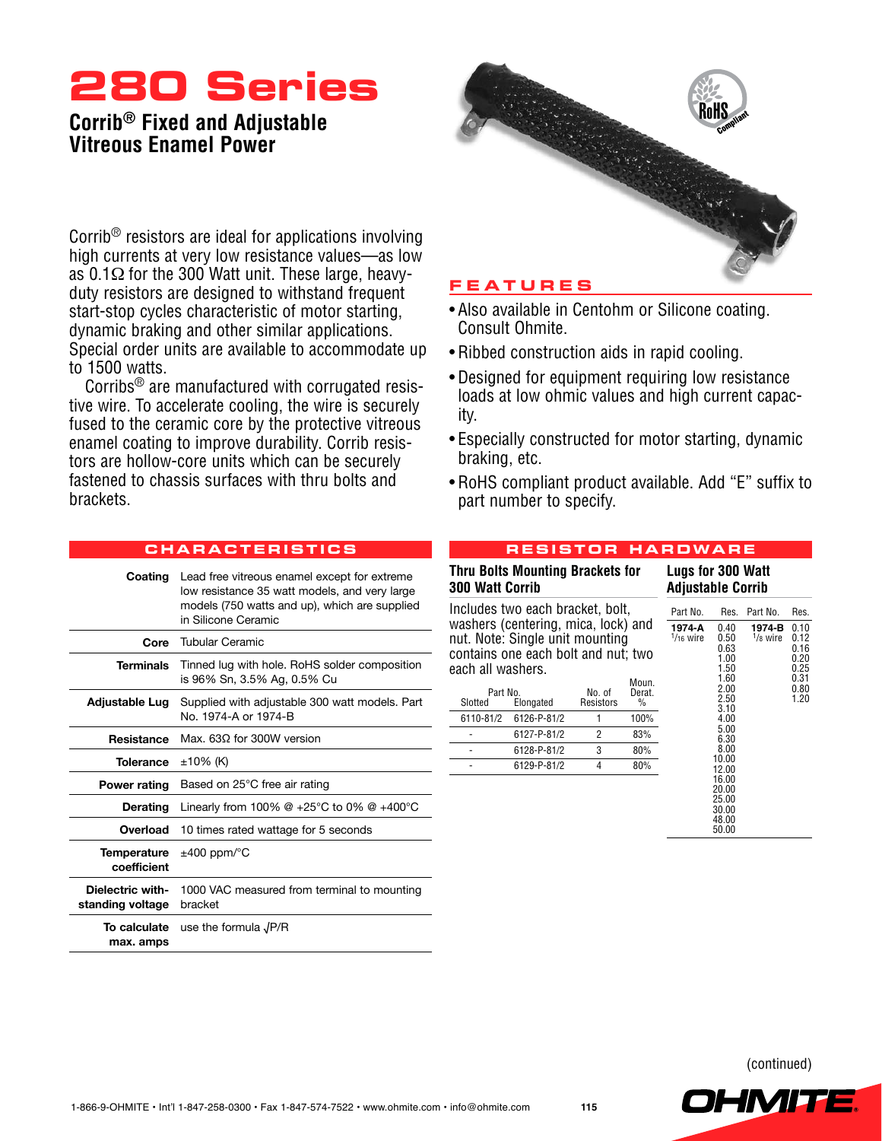# **280 Series**

# **Corrib® Fixed and Adjustable Vitreous Enamel Power**



Corrib® resistors are ideal for applications involving high currents at very low resistance values—as low as 0.1Ω for the 300 Watt unit. These large, heavyduty resistors are designed to withstand frequent start-stop cycles characteristic of motor starting, dynamic braking and other similar applications. Special order units are available to accommodate up to 1500 watts.

Corribs® are manufactured with corrugated resistive wire. To accelerate cooling, the wire is securely fused to the ceramic core by the protective vitreous enamel coating to improve durability. Corrib resistors are hollow-core units which can be securely fastened to chassis surfaces with thru bolts and brackets.

**cha r acte r i s tic s**

## **Featu r e s**

- Also available in Centohm or Silicone coating. Consult Ohmite.
- Ribbed construction aids in rapid cooling.
- Designed for equipment requiring low resistance loads at low ohmic values and high current capacity.
- Especially constructed for motor starting, dynamic braking, etc.
- RoHS compliant product available. Add "E" suffix to part number to specify.

| Coating                              | Lead free vitreous enamel except for extreme<br>low resistance 35 watt models, and very large<br>models (750 watts and up), which are supplied<br>in Silicone Ceramic |
|--------------------------------------|-----------------------------------------------------------------------------------------------------------------------------------------------------------------------|
| Core                                 | Tubular Ceramic                                                                                                                                                       |
| <b>Terminals</b>                     | Tinned lug with hole. RoHS solder composition<br>is 96% Sn, 3.5% Ag, 0.5% Cu                                                                                          |
| Adjustable Lug                       | Supplied with adjustable 300 watt models. Part<br>No. 1974-A or 1974-B                                                                                                |
| <b>Resistance</b>                    | Max. 630 for 300W version                                                                                                                                             |
| <b>Tolerance</b>                     | $±10\%$ (K)                                                                                                                                                           |
| <b>Power rating</b>                  | Based on 25°C free air rating                                                                                                                                         |
| Derating                             | Linearly from 100% @ +25°C to 0% @ +400°C                                                                                                                             |
| Overload                             | 10 times rated wattage for 5 seconds                                                                                                                                  |
| Temperature<br>coefficient           | $\pm 400$ ppm/ $\degree$ C                                                                                                                                            |
| Dielectric with-<br>standing voltage | 1000 VAC measured from terminal to mounting<br>bracket                                                                                                                |
| To calculate<br>max. amps            | use the formula $\sqrt{P/R}$                                                                                                                                          |

### **R e s i s t o r ha r dwa r e**

| <b>300 Watt Corrib</b> | <b>Thru Bolts Mounting Brackets for</b>                                                                                                           | Lugs for 300 Watt<br><b>Adjustable Corrib</b> |                                                      |                                  |                                                                      |  |              |
|------------------------|---------------------------------------------------------------------------------------------------------------------------------------------------|-----------------------------------------------|------------------------------------------------------|----------------------------------|----------------------------------------------------------------------|--|--------------|
| each all washers.      | Includes two each bracket, bolt,<br>washers (centering, mica, lock) and<br>nut. Note: Single unit mounting<br>contains one each bolt and nut; two | Part No.<br>1974-A<br>$1/16$ wire             | Res.<br>0.40<br>0.50<br>0.63<br>1.00<br>1.50<br>1.60 | Part No.<br>1974-B<br>$1/8$ wire | Res.<br>0.10<br>0.12<br>0.16<br>0.20<br>0.25<br>0.31                 |  |              |
| Part No.<br>Slotted    | Elongated                                                                                                                                         | No. of<br>Resistors                           | Moun.<br>Derat.<br>$\frac{0}{0}$                     |                                  | 2.00<br>2.50<br>3.10                                                 |  | 0.80<br>1.20 |
| 6110-81/2              | 6126-P-81/2                                                                                                                                       | 1                                             | 100%<br>4.00                                         |                                  |                                                                      |  |              |
|                        | 6127-P-81/2                                                                                                                                       | $\overline{2}$                                | 83%                                                  | 5.00<br>6.30                     |                                                                      |  |              |
|                        | 6128-P-81/2                                                                                                                                       | 3                                             | 80%                                                  |                                  | 8.00                                                                 |  |              |
|                        | 6129-P-81/2                                                                                                                                       | 4                                             | 80%                                                  |                                  | 10.00<br>12.00<br>16.00<br>20.00<br>25.00<br>30.00<br>48.00<br>50.00 |  |              |

(continued)

OHMIT